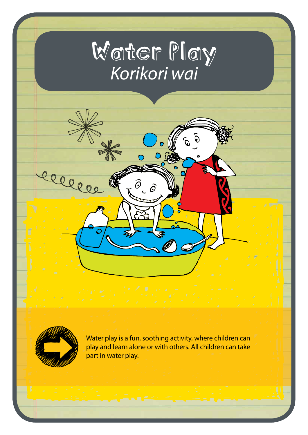# Water Play *Korikori wai*

∩

 $\mathcal{O}$  $\overline{\mathcal{O}}$ 



lle

Water play is a fun, soothing activity, where children can play and learn alone or with others. All children can take part in water play.